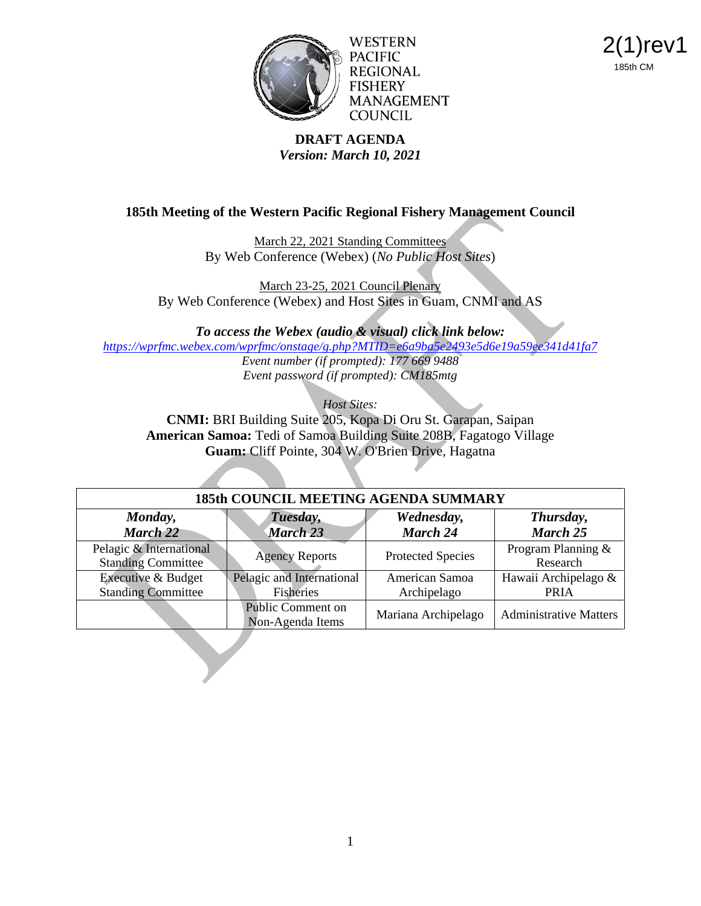

WESTERN PACIFIC **REGIONAL FISHERY MANAGEMENT COUNCIL** 

2(1)rev1 185th CM

#### **DRAFT AGENDA** *Version: March 10, 2021*

## **185th Meeting of the Western Pacific Regional Fishery Management Council**

March 22, 2021 Standing Committees By Web Conference (Webex) (*No Public Host Sites*)

March 23-25, 2021 Council Plenary By Web Conference (Webex) and Host Sites in Guam, CNMI and AS

*To access the Webex (audio & visual) click link below: <https://wprfmc.webex.com/wprfmc/onstage/g.php?MTID=e6a9ba5e2493e5d6e19a59ee341d41fa7>*

*Event number (if prompted): 177 669 9488 Event password (if prompted): CM185mtg*

*Host Sites:* 

**CNMI:** BRI Building Suite 205, Kopa Di Oru St. Garapan, Saipan **American Samoa:** Tedi of Samoa Building Suite 208B, Fagatogo Village **Guam:** Cliff Pointe, 304 W. O'Brien Drive, Hagatna

| <b>185th COUNCIL MEETING AGENDA SUMMARY</b>          |                                        |                               |                                     |
|------------------------------------------------------|----------------------------------------|-------------------------------|-------------------------------------|
| Monday,<br><b>March 22</b>                           | Tuesday,<br><b>March 23</b>            | Wednesday,<br><b>March 24</b> | Thursday,<br><b>March 25</b>        |
| Pelagic & International<br><b>Standing Committee</b> | <b>Agency Reports</b>                  | Protected Species             | Program Planning &<br>Research      |
| Executive & Budget<br><b>Standing Committee</b>      | Pelagic and International<br>Fisheries | American Samoa<br>Archipelago | Hawaii Archipelago &<br><b>PRIA</b> |
|                                                      | Public Comment on<br>Non-Agenda Items  | Mariana Archipelago           | <b>Administrative Matters</b>       |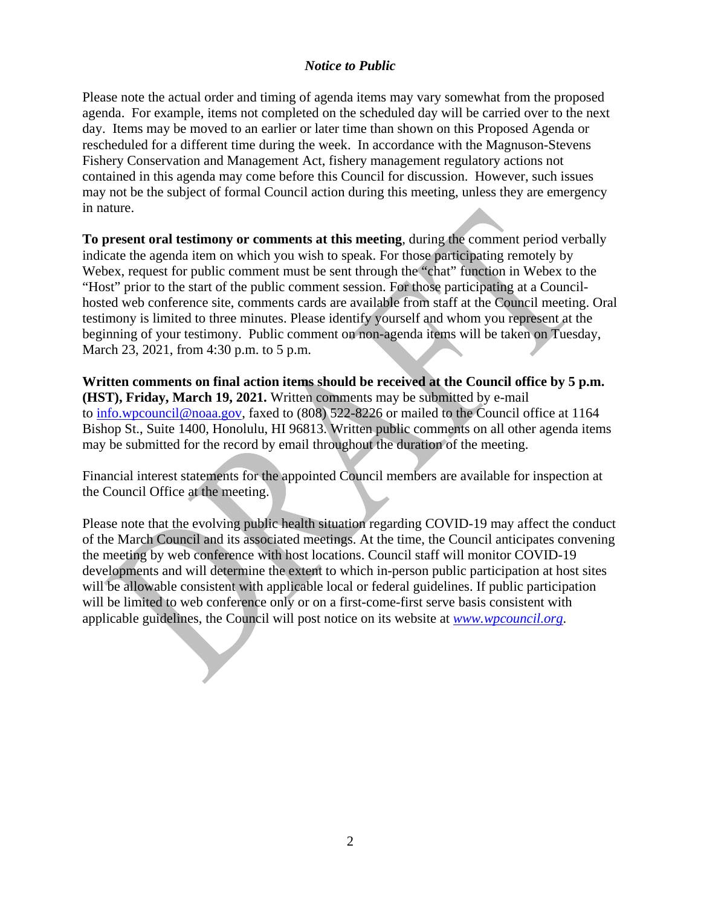### *Notice to Public*

Please note the actual order and timing of agenda items may vary somewhat from the proposed agenda. For example, items not completed on the scheduled day will be carried over to the next day. Items may be moved to an earlier or later time than shown on this Proposed Agenda or rescheduled for a different time during the week. In accordance with the Magnuson-Stevens Fishery Conservation and Management Act, fishery management regulatory actions not contained in this agenda may come before this Council for discussion. However, such issues may not be the subject of formal Council action during this meeting, unless they are emergency in nature.

**To present oral testimony or comments at this meeting**, during the comment period verbally indicate the agenda item on which you wish to speak. For those participating remotely by Webex, request for public comment must be sent through the "chat" function in Webex to the "Host" prior to the start of the public comment session. For those participating at a Councilhosted web conference site, comments cards are available from staff at the Council meeting. Oral testimony is limited to three minutes. Please identify yourself and whom you represent at the beginning of your testimony. Public comment on non-agenda items will be taken on Tuesday, March 23, 2021, from 4:30 p.m. to 5 p.m.

**Written comments on final action items should be received at the Council office by 5 p.m. (HST), Friday, March 19, 2021.** Written comments may be submitted by e-mail to [info.wpcouncil@noaa.gov,](mailto:info.wpcouncil@noaa.gov) faxed to (808) 522-8226 or mailed to the Council office at 1164 Bishop St., Suite 1400, Honolulu, HI 96813. Written public comments on all other agenda items may be submitted for the record by email throughout the duration of the meeting.

Financial interest statements for the appointed Council members are available for inspection at the Council Office at the meeting.

Please note that the evolving public health situation regarding COVID-19 may affect the conduct of the March Council and its associated meetings. At the time, the Council anticipates convening the meeting by web conference with host locations. Council staff will monitor COVID-19 developments and will determine the extent to which in-person public participation at host sites will be allowable consistent with applicable local or federal guidelines. If public participation will be limited to web conference only or on a first-come-first serve basis consistent with applicable guidelines, the Council will post notice on its website at *[www.wpcouncil.org](http://www.wpcouncil.org/)*.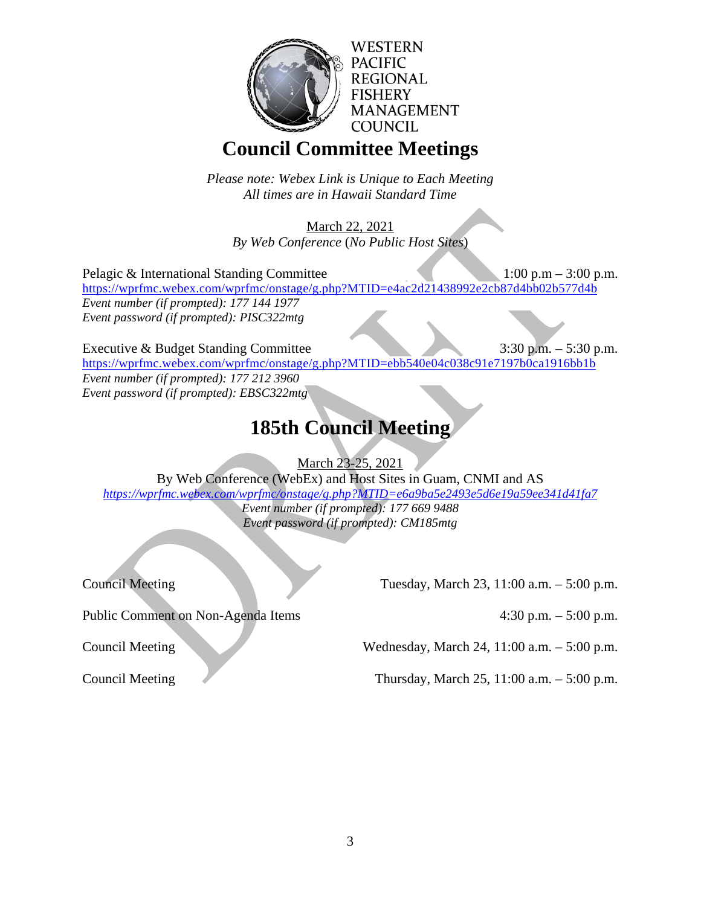

**WESTERN PACIFIC REGIONAL FISHERY MANAGEMENT COUNCIL** 

## **Council Committee Meetings**

*Please note: Webex Link is Unique to Each Meeting All times are in Hawaii Standard Time*

March 22, 2021 *By Web Conference* (*No Public Host Sites*)

Pelagic & International Standing Committee 1:00 p.m – 3:00 p.m. <https://wprfmc.webex.com/wprfmc/onstage/g.php?MTID=e4ac2d21438992e2cb87d4bb02b577d4b> *Event number (if prompted): 177 144 1977 Event password (if prompted): PISC322mtg*

Executive & Budget Standing Committee 3:30 p.m. – 5:30 p.m. <https://wprfmc.webex.com/wprfmc/onstage/g.php?MTID=ebb540e04c038c91e7197b0ca1916bb1b> *Event number (if prompted): 177 212 3960 Event password (if prompted): EBSC322mtg*

# **185th Council Meeting**

March 23-25, 2021

By Web Conference (WebEx) and Host Sites in Guam, CNMI and AS

*<https://wprfmc.webex.com/wprfmc/onstage/g.php?MTID=e6a9ba5e2493e5d6e19a59ee341d41fa7>*

*Event number (if prompted): 177 669 9488 Event password (if prompted): CM185mtg*

Council Meeting Tuesday, March 23, 11:00 a.m. – 5:00 p.m.

Public Comment on Non-Agenda Items 4:30 p.m. – 5:00 p.m.

Council Meeting Wednesday, March 24, 11:00 a.m. – 5:00 p.m.

Council Meeting Thursday, March 25, 11:00 a.m. – 5:00 p.m.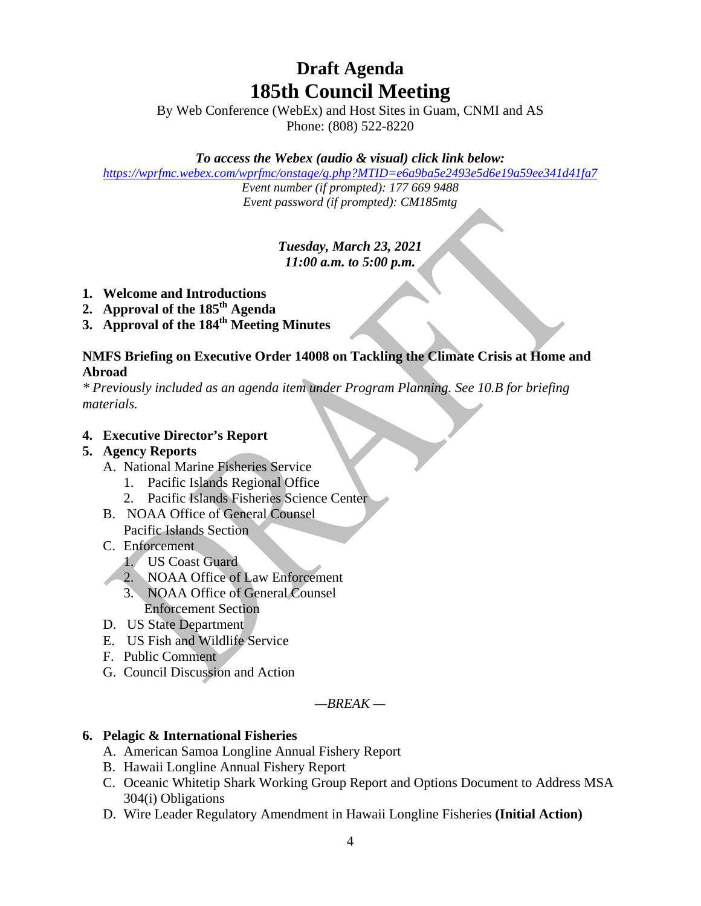## **Draft Agenda 185th Council Meeting**

By Web Conference (WebEx) and Host Sites in Guam, CNMI and AS Phone: (808) 522-8220

## *To access the Webex (audio & visual) click link below:*

*<https://wprfmc.webex.com/wprfmc/onstage/g.php?MTID=e6a9ba5e2493e5d6e19a59ee341d41fa7>*

*Event number (if prompted): 177 669 9488 Event password (if prompted): CM185mtg*

## *Tuesday, March 23, 2021 11:00 a.m. to 5:00 p.m.*

- **1. Welcome and Introductions**
- **2. Approval of the 185th Agenda**
- **3. Approval of the 184th Meeting Minutes**

### **NMFS Briefing on Executive Order 14008 on Tackling the Climate Crisis at Home and Abroad**

*\* Previously included as an agenda item under Program Planning. See 10.B for briefing materials.* 

### **4. Executive Director's Report**

## **5. Agency Reports**

- A. National Marine Fisheries Service
	- 1. Pacific Islands Regional Office
	- 2. Pacific Islands Fisheries Science Center
- B. NOAA Office of General Counsel Pacific Islands Section
- C. Enforcement
	- 1. US Coast Guard
	- 2. NOAA Office of Law Enforcement
	- 3. NOAA Office of General Counsel Enforcement Section
- D. US State Department
- E. US Fish and Wildlife Service
- F. Public Comment
- G. Council Discussion and Action

*—BREAK —*

#### **6. Pelagic & International Fisheries**

- A. American Samoa Longline Annual Fishery Report
- B. Hawaii Longline Annual Fishery Report
- C. Oceanic Whitetip Shark Working Group Report and Options Document to Address MSA 304(i) Obligations
- D. Wire Leader Regulatory Amendment in Hawaii Longline Fisheries **(Initial Action)**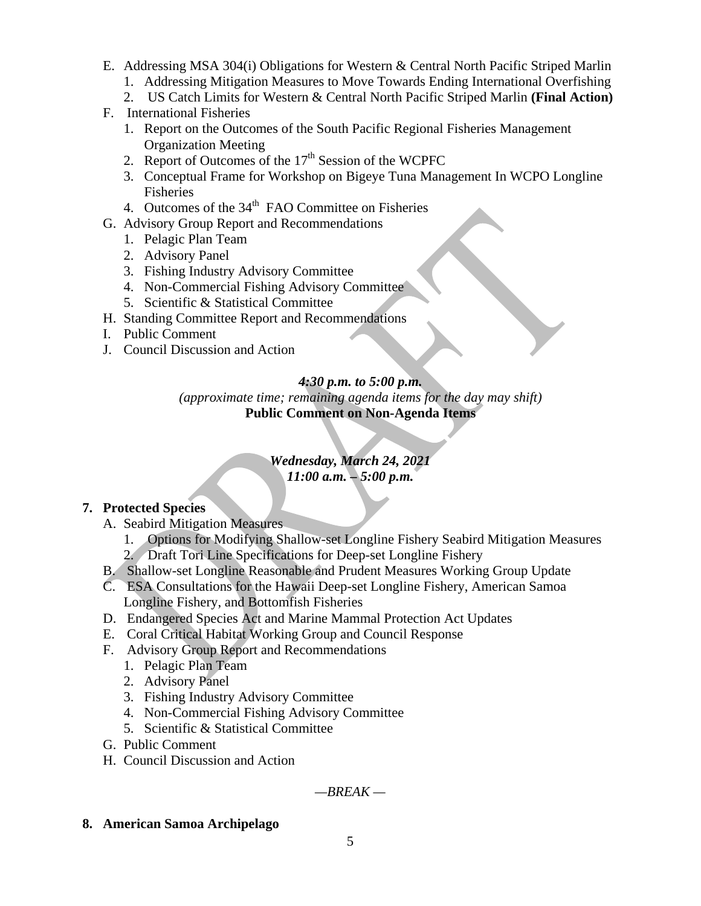- E. Addressing MSA 304(i) Obligations for Western & Central North Pacific Striped Marlin
	- 1. Addressing Mitigation Measures to Move Towards Ending International Overfishing
	- 2. US Catch Limits for Western & Central North Pacific Striped Marlin **(Final Action)**
- F. International Fisheries
	- 1. Report on the Outcomes of the South Pacific Regional Fisheries Management Organization Meeting
	- 2. Report of Outcomes of the  $17<sup>th</sup>$  Session of the WCPFC
	- 3. Conceptual Frame for Workshop on Bigeye Tuna Management In WCPO Longline Fisheries
	- 4. Outcomes of the  $34<sup>th</sup>$  FAO Committee on Fisheries
- G. Advisory Group Report and Recommendations
	- 1. Pelagic Plan Team
		- 2. Advisory Panel
		- 3. Fishing Industry Advisory Committee
		- 4. Non-Commercial Fishing Advisory Committee
	- 5. Scientific & Statistical Committee
- H. Standing Committee Report and Recommendations
- I. Public Comment
- J. Council Discussion and Action

## *4:30 p.m. to 5:00 p.m.*

*(approximate time; remaining agenda items for the day may shift)* **Public Comment on Non-Agenda Items**

## *Wednesday, March 24, 2021 11:00 a.m. – 5:00 p.m.*

## **7. Protected Species**

- A. Seabird Mitigation Measures
	- 1. Options for Modifying Shallow-set Longline Fishery Seabird Mitigation Measures
	- 2. Draft Tori Line Specifications for Deep-set Longline Fishery
- B. Shallow-set Longline Reasonable and Prudent Measures Working Group Update
- C. ESA Consultations for the Hawaii Deep-set Longline Fishery, American Samoa Longline Fishery, and Bottomfish Fisheries
- D. Endangered Species Act and Marine Mammal Protection Act Updates
- E. Coral Critical Habitat Working Group and Council Response
- F. Advisory Group Report and Recommendations
	- 1. Pelagic Plan Team
	- 2. Advisory Panel
	- 3. Fishing Industry Advisory Committee
	- 4. Non-Commercial Fishing Advisory Committee
	- 5. Scientific & Statistical Committee
- G. Public Comment
- H. Council Discussion and Action

*—BREAK —*

**8. American Samoa Archipelago**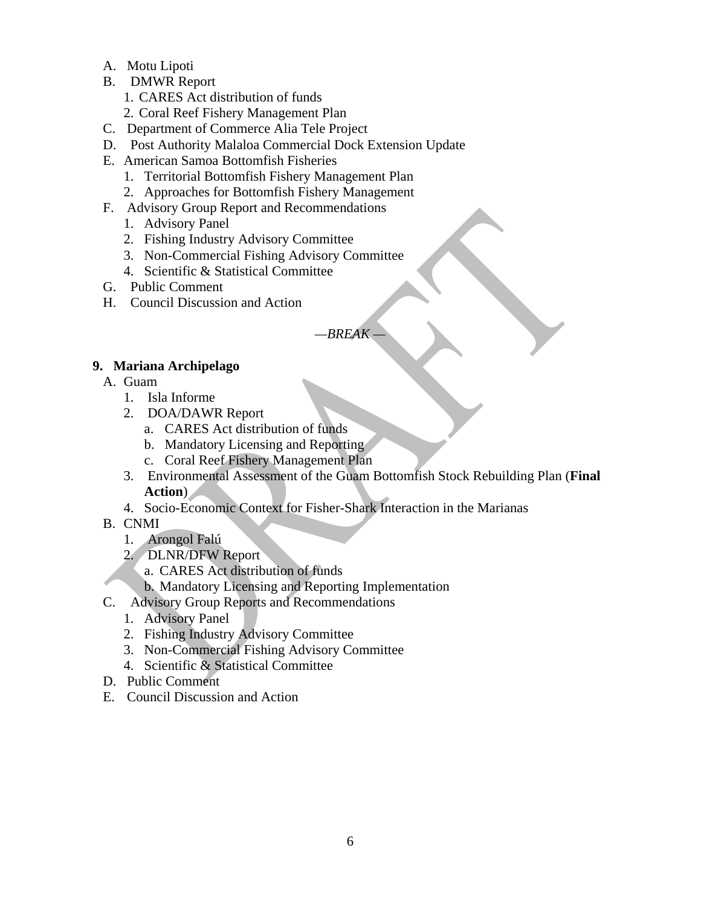- A. Motu Lipoti
- B. DMWR Report
	- 1. CARES Act distribution of funds
	- 2. Coral Reef Fishery Management Plan
- C. Department of Commerce Alia Tele Project
- D. Post Authority Malaloa Commercial Dock Extension Update
- E. American Samoa Bottomfish Fisheries
	- 1. Territorial Bottomfish Fishery Management Plan
	- 2. Approaches for Bottomfish Fishery Management
- F. Advisory Group Report and Recommendations
	- 1. Advisory Panel
	- 2. Fishing Industry Advisory Committee
	- 3. Non-Commercial Fishing Advisory Committee
	- 4. Scientific & Statistical Committee
- G. Public Comment
- H. Council Discussion and Action

*—BREAK —*

## **9. Mariana Archipelago**

A. Guam

- 1. Isla Informe
- 2. DOA/DAWR Report
	- a. CARES Act distribution of funds
	- b. Mandatory Licensing and Reporting
	- c. Coral Reef Fishery Management Plan
- 3. Environmental Assessment of the Guam Bottomfish Stock Rebuilding Plan (**Final Action**)
- 4. Socio-Economic Context for Fisher-Shark Interaction in the Marianas
- B. CNMI
	- 1. Arongol Falú
	- 2. DLNR/DFW Report
		- a. CARES Act distribution of funds
		- b. Mandatory Licensing and Reporting Implementation
- C. Advisory Group Reports and Recommendations
	- 1. Advisory Panel
	- 2. Fishing Industry Advisory Committee
	- 3. Non-Commercial Fishing Advisory Committee
	- 4. Scientific & Statistical Committee
- D. Public Comment
- E. Council Discussion and Action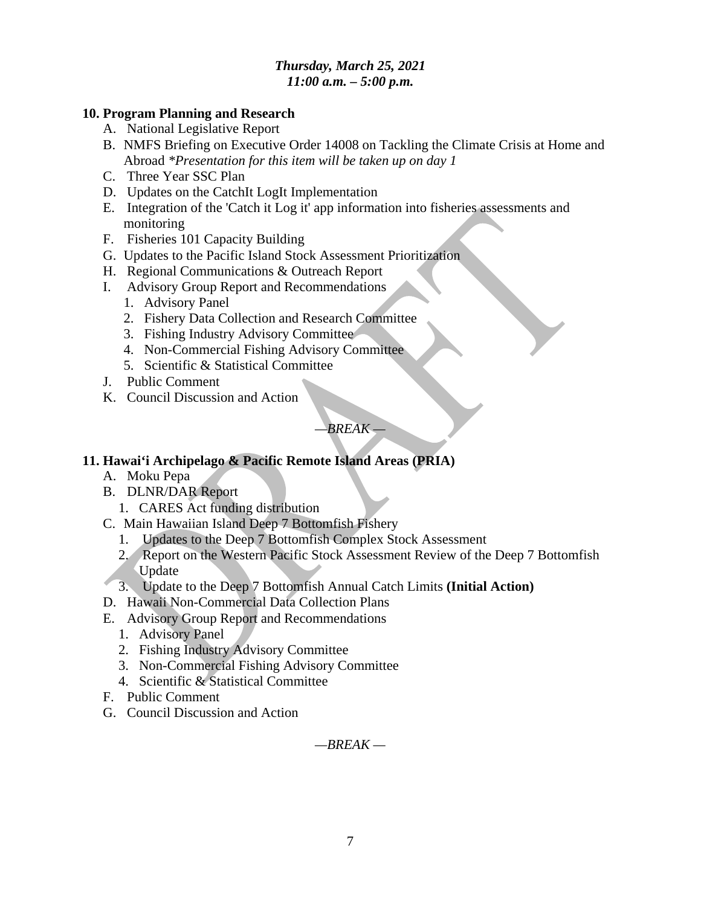## *Thursday, March 25, 2021 11:00 a.m. – 5:00 p.m.*

#### **10. Program Planning and Research**

- A. National Legislative Report
- B. NMFS Briefing on Executive Order 14008 on Tackling the Climate Crisis at Home and Abroad *\*Presentation for this item will be taken up on day 1*
- C. Three Year SSC Plan
- D. Updates on the CatchIt LogIt Implementation
- E. Integration of the 'Catch it Log it' app information into fisheries assessments and monitoring
- F. Fisheries 101 Capacity Building
- G. Updates to the Pacific Island Stock Assessment Prioritization
- H. Regional Communications & Outreach Report
- I. Advisory Group Report and Recommendations
	- 1. Advisory Panel
	- 2. Fishery Data Collection and Research Committee
	- 3. Fishing Industry Advisory Committee
	- 4. Non-Commercial Fishing Advisory Committee
	- 5. Scientific & Statistical Committee
- J. Public Comment
- K. Council Discussion and Action

## *—BREAK —*

## **11. Hawai'i Archipelago & Pacific Remote Island Areas (PRIA)**

- A. Moku Pepa
- B. DLNR/DAR Report
	- 1. CARES Act funding distribution
- C. Main Hawaiian Island Deep 7 Bottomfish Fishery
	- 1. Updates to the Deep 7 Bottomfish Complex Stock Assessment
	- 2. Report on the Western Pacific Stock Assessment Review of the Deep 7 Bottomfish Update
- 3. Update to the Deep 7 Bottomfish Annual Catch Limits **(Initial Action)**
- D. Hawaii Non-Commercial Data Collection Plans
- E. Advisory Group Report and Recommendations
	- 1. Advisory Panel
	- 2. Fishing Industry Advisory Committee
	- 3. Non-Commercial Fishing Advisory Committee
	- 4. Scientific & Statistical Committee
- F. Public Comment
- G. Council Discussion and Action

*—BREAK —*